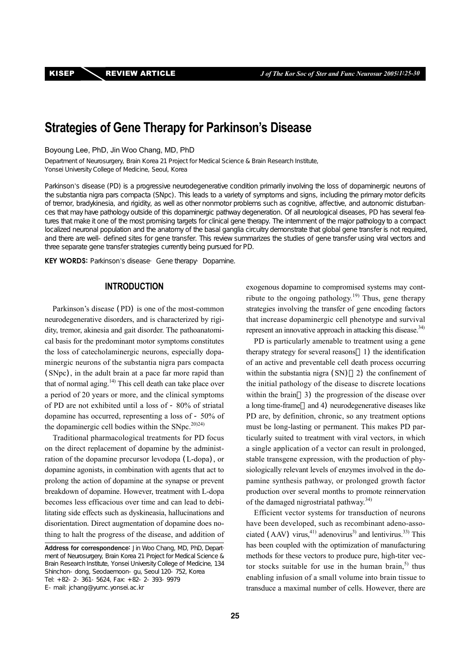# **Strategies of Gene Therapy for Parkinson's Disease**

Boyoung Lee, PhD, Jin Woo Chang, MD, PhD

Department of Neurosurgery, Brain Korea 21 Project for Medical Science & Brain Research Institute, Yonsei University College of Medicine, Seoul, Korea

Parkinson's disease (PD) is a progressive neurodegenerative condition primarily involving the loss of dopaminergic neurons of the substantia nigra pars compacta (SNpc). This leads to a variety of symptoms and signs, including the primary motor deficits of tremor, bradykinesia, and rigidity, as well as other nonmotor problems such as cognitive, affective, and autonomic disturbances that may have pathology outside of this dopaminergic pathway degeneration. Of all neurological diseases, PD has several features that make it one of the most promising targets for clinical gene therapy. The internment of the major pathology to a compact localized neuronal population and the anatomy of the basal ganglia circuitry demonstrate that global gene transfer is not required, and there are well-defined sites for gene transfer. This review summarizes the studies of gene transfer using viral vectors and three separate gene transfer strategies currently being pursued for PD.

KEY WORDS: Parkinson's disease Gene therapy Dopamine.

# **INTRODUCTION**

Parkinson's disease (PD) is one of the most-common neurodegenerative disorders, and is characterized by rigidity, tremor, akinesia and gait disorder. The pathoanatomical basis for the predominant motor symptoms constitutes the loss of catecholaminergic neurons, especially dopaminergic neurons of the substantia nigra pars compacta (SNpc), in the adult brain at a pace far more rapid than that of normal aging. $14$ <sup>th</sup>) This cell death can take place over a period of 20 years or more, and the clinical symptoms of PD are not exhibited until a loss of - 80% of striatal dopamine has occurred, representing a loss of - 50% of the dopaminergic cell bodies within the  $SNpc$ .<sup>20)24)</sup>

Traditional pharmacological treatments for PD focus on the direct replacement of dopamine by the administration of the dopamine precursor levodopa (L-dopa), or dopamine agonists, in combination with agents that act to prolong the action of dopamine at the synapse or prevent breakdown of dopamine. However, treatment with L-dopa becomes less efficacious over time and can lead to debilitating side effects such as dyskineasia, hallucinations and disorientation. Direct augmentation of dopamine does nothing to halt the progress of the disease, and addition of exogenous dopamine to compromised systems may contribute to the ongoing pathology.<sup>19)</sup> Thus, gene therapy strategies involving the transfer of gene encoding factors that increase dopaminergic cell phenotype and survival represent an innovative approach in attacking this disease.<sup>34)</sup>

PD is particularly amenable to treatment using a gene therapy strategy for several reasons 1) the identification of an active and preventable cell death process occurring within the substantia nigra  $(SN)$   $2)$  the confinement of the initial pathology of the disease to discrete locations within the brain 3) the progression of the disease over a long time-frame and 4) neurodegenerative diseases like PD are, by definition, chronic, so any treatment options must be long-lasting or permanent. This makes PD particularly suited to treatment with viral vectors, in which a single application of a vector can result in prolonged, stable transgene expression, with the production of physiologically relevant levels of enzymes involved in the dopamine synthesis pathway, or prolonged growth factor production over several months to promote reinnervation of the damaged nigrostriatal pathway.<sup>34)</sup>

Efficient vector systems for transduction of neurons have been developed, such as recombinant adeno-associated (AAV) virus, $41)$  adenovirus<sup>3</sup>) and lentivirus.<sup>33</sup> This has been coupled with the optimization of manufacturing methods for these vectors to produce pure, high-titer vector stocks suitable for use in the human brain, $<sup>5</sup>$  thus</sup> enabling infusion of a small volume into brain tissue to transduce a maximal number of cells. However, there are

Address for correspondence: Jin Woo Chang, MD, PhD, Department of Neurosurgery, Brain Korea 21 Project for Medical Science & Brain Research Institute, Yonsei University College of Medicine, 134 Shinchon-dong, Seodaemoon-gu, Seoul 120-752, Korea Tel: +82-2-361-5624, Fax: +82-2-393-9979 E-mail: jchang@yumc.yonsei.ac.kr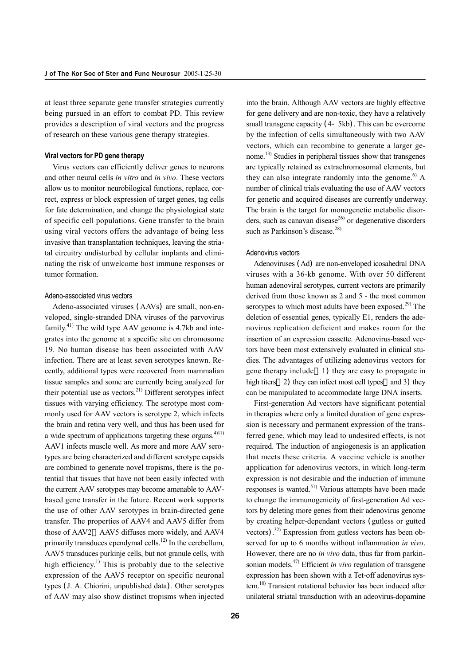at least three separate gene transfer strategies currently being pursued in an effort to combat PD. This review provides a description of viral vectors and the progress of research on these various gene therapy strategies.

### **Viral vectors for PD gene therapy**

Virus vectors can efficiently deliver genes to neurons and other neural cells *in vitro* and *in vivo*. These vectors allow us to monitor neurobilogical functions, replace, correct, express or block expression of target genes, tag cells for fate determination, and change the physiological state of specific cell populations. Gene transfer to the brain using viral vectors offers the advantage of being less invasive than transplantation techniques, leaving the striatal circuitry undisturbed by cellular implants and eliminating the risk of unwelcome host immune responses or tumor formation.

#### Adeno-associated virus vectors

Adeno-associated viruses (AAVs) are small, non-enveloped, single-stranded DNA viruses of the parvovirus family.<sup>41)</sup> The wild type AAV genome is 4.7kb and integrates into the genome at a specific site on chromosome 19. No human disease has been associated with AAV infection. There are at least seven serotypes known. Recently, additional types were recovered from mammalian tissue samples and some are currently being analyzed for their potential use as vectors. $^{21)}$  Different serotypes infect tissues with varying efficiency. The serotype most commonly used for AAV vectors is serotype 2, which infects the brain and retina very well, and thus has been used for a wide spectrum of applications targeting these organs. $4)111$ AAV1 infects muscle well. As more and more AAV serotypes are being characterized and different serotype capsids are combined to generate novel tropisms, there is the potential that tissues that have not been easily infected with the current AAV serotypes may become amenable to AAVbased gene transfer in the future. Recent work supports the use of other AAV serotypes in brain-directed gene transfer. The properties of AAV4 and AAV5 differ from those of AAV2 AAV5 diffuses more widely, and AAV4 primarily transduces ependymal cells.<sup>12)</sup> In the cerebellum, AAV5 transduces purkinje cells, but not granule cells, with high efficiency.<sup>1)</sup> This is probably due to the selective expression of the AAV5 receptor on specific neuronal types (J. A. Chiorini, unpublished data). Other serotypes of AAV may also show distinct tropisms when injected into the brain. Although AAV vectors are highly effective for gene delivery and are non-toxic, they have a relatively small transgene capacity (4-5kb). This can be overcome by the infection of cells simultaneously with two AAV vectors, which can recombine to generate a larger genome.13) Studies in peripheral tissues show that transgenes are typically retained as extrachromosomal elements, but they can also integrate randomly into the genome.<sup>6)</sup> A number of clinical trials evaluating the use of AAV vectors for genetic and acquired diseases are currently underway. The brain is the target for monogenetic metabolic disorders, such as canavan disease<sup>26)</sup> or degenerative disorders such as Parkinson's disease.<sup>28)</sup>

#### Adenovirus vectors

Adenoviruses (Ad) are non-enveloped icosahedral DNA viruses with a 36-kb genome. With over 50 different human adenoviral serotypes, current vectors are primarily derived from those known as 2 and 5 - the most common serotypes to which most adults have been exposed.<sup>29)</sup> The deletion of essential genes, typically E1, renders the adenovirus replication deficient and makes room for the insertion of an expression cassette. Adenovirus-based vectors have been most extensively evaluated in clinical studies. The advantages of utilizing adenovirus vectors for gene therapy include 1) they are easy to propagate in high titers 2) they can infect most cell types and 3) they can be manipulated to accommodate large DNA inserts.

First-generation Ad vectors have significant potential in therapies where only a limited duration of gene expression is necessary and permanent expression of the transferred gene, which may lead to undesired effects, is not required. The induction of angiogenesis is an application that meets these criteria. A vaccine vehicle is another application for adenovirus vectors, in which long-term expression is not desirable and the induction of immune responses is wanted.51) Various attempts have been made to change the immunogenicity of first-generation Ad vectors by deleting more genes from their adenovirus genome by creating helper-dependant vectors (gutless or gutted vectors)<sup>32</sup> Expression from gutless vectors has been observed for up to 6 months without inflammation *in vivo*. However, there are no *in vivo* data, thus far from parkinsonian models.47) Efficient *in vivo* regulation of transgene expression has been shown with a Tet-off adenovirus system.<sup>10)</sup> Transient rotational behavior has been induced after unilateral striatal transduction with an adeovirus-dopamine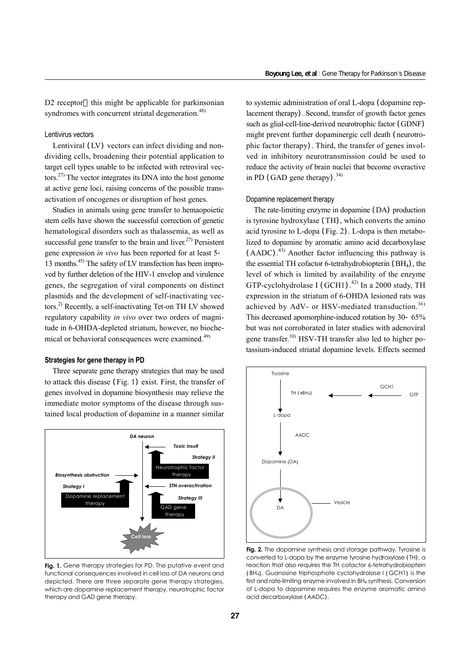D<sub>2</sub> receptor this might be applicable for parkinsonian syndromes with concurrent striatal degeneration.<sup>48)</sup>

# Lentivirus vectors

Lentiviral (LV) vectors can infect dividing and nondividing cells, broadening their potential application to target cell types unable to be infected with retroviral vectors.27) The vector integrates its DNA into the host genome at active gene loci, raising concerns of the possible transactivation of oncogenes or disruption of host genes.

Studies in animals using gene transfer to hemaopoietic stem cells have shown the successful correction of genetic hematological disorders such as thalassemia, as well as successful gene transfer to the brain and liver.<sup>27)</sup> Persistent gene expression *in vivo* has been reported for at least 5- 13 months.45) The safety of LV transfection has been improved by further deletion of the HIV-1 envelop and virulence genes, the segregation of viral components on distinct plasmids and the development of self-inactivating vectors.2) Recently, a self-inactivating Tet-on TH LV showed regulatory capability *in vivo* over two orders of magnitude in 6-OHDA-depleted striatum, however, no biochemical or behavioral consequences were examined.<sup>49)</sup>

### **Strategies for gene therapy in PD**

Three separate gene therapy strategies that may be used to attack this disease (Fig. 1) exist. First, the transfer of genes involved in dopamine biosynthesis may relieve the immediate motor symptoms of the disease through sustained local production of dopamine in a manner similar



**Fig. 1.** Gene therapy strategies for PD. The putative event and functional consequences involved in cell loss of DA neurons and depicted. There are three separate gene therapy strategies, which are dopamine replacement therapy, neurotrophic factor therapy and GAD gene therapy.

to systemic administration of oral L-dopa (dopamine replacement therapy). Second, transfer of growth factor genes such as glial-cell-line-derived neurotrophic factor (GDNF) might prevent further dopaminergic cell death (neurotrophic factor therapy). Third, the transfer of genes involved in inhibitory neurotransmission could be used to reduce the activity of brain nuclei that become overactive in PD (GAD gene therapy).<sup>34)</sup>

### Dopamine replacement therapy

The rate-limiting enzyme in dopamine (DA) production is tyrosine hydroxylase (TH), which converts the amino acid tyrosine to L-dopa (Fig. 2). L-dopa is then metabolized to dopamine by aromatic amino acid decarboxylase (AADC). 43) Another factor influencing this pathway is the essential TH cofactor 6-tetrahydrobiopterin (BH4), the level of which is limited by availability of the enzyme GTP-cyclohydrolase I (GCH1).<sup>42)</sup> In a 2000 study, TH expression in the striatum of 6-OHDA lesioned rats was achieved by AdV- or HSV-mediated transduction.<sup>36)</sup> This decreased apomorphine-induced rotation by 30-65% but was not corroborated in later studies with adenoviral gene transfer.<sup>10)</sup> HSV-TH transfer also led to higher potassium-induced striatal dopamine levels. Effects seemed



**Fig. 2.** The dopamine synthesis and storage pathway. Tyrosine is converted to L-dopa by the enzyme tyrosine hydroxylase (TH), a reaction that also requires the TH cofactor 6-tetrahydrobioptein (BH4). Guanosine triphosphate cyclohydrolase I (GCH1) is the first and rate-limiting enzyme involved in BH4 synthesis. Conversion of L-dopa to dopamine requires the enzyme aromatic amino acid decarboxylase (AADC).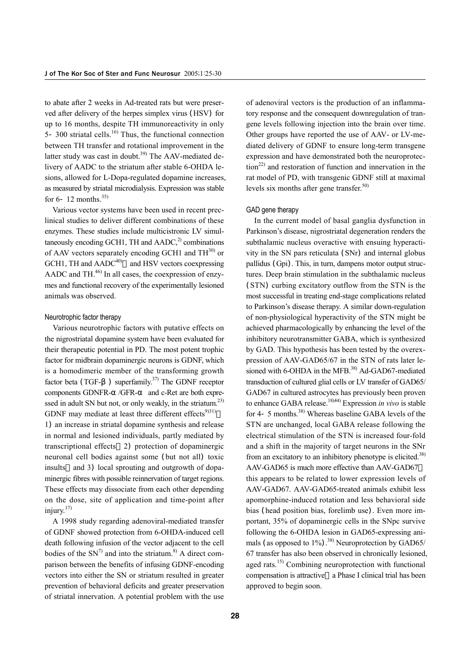to abate after 2 weeks in Ad-treated rats but were preserved after delivery of the herpes simplex virus (HSV) for up to 16 months, despite TH immunoreactivity in only 5-300 striatal cells.<sup>16)</sup> Thus, the functional connection between TH transfer and rotational improvement in the latter study was cast in doubt.<sup>39)</sup> The AAV-mediated delivery of AADC to the striatum after stable 6-OHDA lesions, allowed for L-Dopa-regulated dopamine increases, as measured by striatal microdialysis. Expression was stable for  $6-12$  months.<sup>35)</sup>

Various vector systems have been used in recent preclinical studies to deliver different combinations of these enzymes. These studies include multicistronic LV simultaneously encoding GCH1, TH and  $AADC<sup>2</sup>$  combinations of AAV vectors separately encoding GCH1 and  $TH^{30}$  or  $GCH1$ , TH and  $AADC^{40}$  and HSV vectors coexpressing AADC and TH $^{46)}$  In all cases, the coexpression of enzymes and functional recovery of the experimentally lesioned animals was observed.

#### Neurotrophic factor therapy

Various neurotrophic factors with putative effects on the nigrostriatal dopamine system have been evaluated for their therapeutic potential in PD. The most potent trophic factor for midbrain dopaminergic neurons is GDNF, which is a homodimeric member of the transforming growth factor beta (TGF- $\)$  superfamily.<sup>37)</sup> The GDNF receptor components GDNFR- /GFR- and c-Ret are both expressed in adult SN but not, or only weakly, in the striatum.<sup>23)</sup> GDNF may mediate at least three different effects $9)$ 31) 1) an increase in striatal dopamine synthesis and release in normal and lesioned individuals, partly mediated by transcriptional effects 2) protection of dopaminergic neuronal cell bodies against some (but not all) toxic insults and 3) local sprouting and outgrowth of dopaminergic fibres with possible reinnervation of target regions. These effects may dissociate from each other depending on the dose, site of application and time-point after injury. $17$ 

A 1998 study regarding adenoviral-mediated transfer of GDNF showed protection from 6-OHDA-induced cell death following infusion of the vector adjacent to the cell bodies of the  $SN<sup>7</sup>$  and into the striatum.<sup>8)</sup> A direct comparison between the benefits of infusing GDNF-encoding vectors into either the SN or striatum resulted in greater prevention of behavioral deficits and greater preservation of striatal innervation. A potential problem with the use

of adenoviral vectors is the production of an inflammatory response and the consequent downregulation of trangene levels following injection into the brain over time. Other groups have reported the use of AAV- or LV-mediated delivery of GDNF to ensure long-term transgene expression and have demonstrated both the neuroprotec- $\tau$ tion<sup>22)</sup> and restoration of function and innervation in the rat model of PD, with transgenic GDNF still at maximal levels six months after gene transfer.<sup>50)</sup>

#### GAD gene therapy

In the current model of basal ganglia dysfunction in Parkinson's disease, nigrostriatal degeneration renders the subthalamic nucleus overactive with ensuing hyperactivity in the SN pars reticulata (SNr) and internal globus pallidus (Gpi). This, in turn, dampens motor output structures. Deep brain stimulation in the subthalamic nucleus (STN) curbing excitatory outflow from the STN is the most successful in treating end-stage complications related to Parkinson's disease therapy. A similar down-regulation of non-physiological hyperactivity of the STN might be achieved pharmacologically by enhancing the level of the inhibitory neurotransmitter GABA, which is synthesized by GAD. This hypothesis has been tested by the overexpression of AAV-GAD65/67 in the STN of rats later lesioned with 6-OHDA in the MFB.<sup>38)</sup> Ad-GAD67-mediated transduction of cultured glial cells or LV transfer of GAD65/ GAD67 in cultured astrocytes has previously been proven to enhance GABA release.18)44) Expression *in vivo* is stable for 4-5 months.<sup>38)</sup> Whereas baseline GABA levels of the STN are unchanged, local GABA release following the electrical stimulation of the STN is increased four-fold and a shift in the majority of target neurons in the SNr from an excitatory to an inhibitory phenotype is elicited.<sup>38)</sup> AAV-GAD65 is much more effective than AAV-GAD67 this appears to be related to lower expression levels of AAV-GAD67. AAV-GAD65-treated animals exhibit less apomorphine-induced rotation and less behavioral side bias (head position bias, forelimb use). Even more important, 35% of dopaminergic cells in the SNpc survive following the 6-OHDA lesion in GAD65-expressing animals (as opposed to  $1\%$ ).<sup>38)</sup> Neuroprotection by GAD65/ 67 transfer has also been observed in chronically lesioned, aged rats.<sup>15)</sup> Combining neuroprotection with functional

compensation is attractive a Phase I clinical trial has been

approved to begin soon.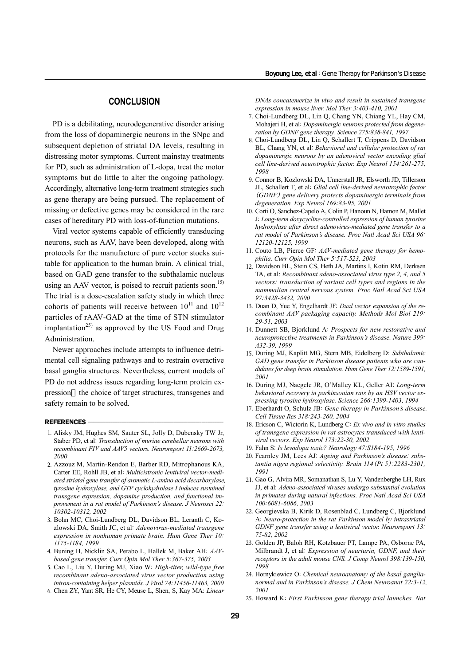# **CONCLUSION**

PD is a debilitating, neurodegenerative disorder arising from the loss of dopaminergic neurons in the SNpc and subsequent depletion of striatal DA levels, resulting in distressing motor symptoms. Current mainstay treatments for PD, such as administration of L-dopa, treat the motor symptoms but do little to alter the ongoing pathology. Accordingly, alternative long-term treatment strategies such as gene therapy are being pursued. The replacement of missing or defective genes may be considered in the rare cases of hereditary PD with loss-of-function mutations.

Viral vector systems capable of efficiently transducing neurons, such as AAV, have been developed, along with protocols for the manufacture of pure vector stocks suitable for application to the human brain. A clinical trial, based on GAD gene transfer to the subthalamic nucleus using an AAV vector, is poised to recruit patients soon.<sup>15)</sup> The trial is a dose-escalation safety study in which three cohorts of patients will receive between  $10^{11}$  and  $10^{12}$ particles of rAAV-GAD at the time of STN stimulator implantation<sup>25)</sup> as approved by the US Food and Drug Administration.

Newer approaches include attempts to influence detrimental cell signaling pathways and to restrain overactive basal ganglia structures. Nevertheless, current models of PD do not address issues regarding long-term protein expression the choice of target structures, transgenes and safety remain to be solved.

#### **REFERENCES**

- 1. Alisky JM, Hughes SM, Sauter SL, Jolly D, Dubensky TW Jr, Staber PD, et al: *Transduction of murine cerebellar neurons with recombinant FIV and AAV5 vectors. Neuroreport 11:2669-2673, 2000*
- 2. Azzouz M, Martin-Rendon E, Barber RD, Mitrophanous KA, Carter EE, Rohll JB, et al: *Multicistronic lentiviral vector-mediated striatal gene transfer of aromatic L-amino acid decarboxylase, tyrosine hydroxylase, and GTP cyclohydrolase I induces sustained transgene expression, dopamine production, and functional improvement in a rat model of Parkinson's disease. J Neurosci 22: 10302-10312, 2002*
- 3. Bohn MC, Choi-Lundberg DL, Davidson BL, Leranth C, Kozlowski DA, Smith JC, et al: *Adenovirus-mediated transgene expression in nonhuman primate brain. Hum Gene Ther 10: 1175-1184, 1999*
- 4. Buning H, Nicklin SA, Perabo L, Hallek M, Baker AH: *AAVbased gene transfer. Curr Opin Mol Ther 5:367-375, 2003*
- 5. Cao L, Liu Y, During MJ, Xiao W: *High-titer, wild-type free recombinant adeno-associated virus vector production using intron-containing helper plasmids. J Virol 74:11456-11463, 2000*
- 6. Chen ZY, Yant SR, He CY, Meuse L, Shen, S, Kay MA: *Linear*

*DNAs concatemerize in vivo and result in sustained transgene expression in mouse liver. Mol Ther 3:403-410, 2001*

- 7. Choi-Lundberg DL, Lin Q, Chang YN, Chiang YL, Hay CM, Mohajeri H, et al: *Dopaminergic neurons protected from degeneration by GDNF gene therapy. Science 275:838-841, 1997*
- 8. Choi-Lundberg DL, Lin Q, Schallert T, Crippens D, Davidson BL, Chang YN, et al: *Behavioral and cellular protection of rat dopaminergic neurons by an adenoviral vector encoding glial cell line-derived neurotrophic factor. Exp Neurol 154:261-275, 1998*
- 9. Connor B, Kozlowski DA, Unnerstall JR, Elsworth JD, Tillerson JL, Schallert T, et al: *Glial cell line-derived neurotrophic factor*  (*GDNF*) *gene delivery protects dopaminergic terminals from degeneration. Exp Neurol 169:83-95, 2001*
- 10. Corti O, Sanchez-Capelo A, Colin P, Hanoun N, Hamon M, Mallet J: *Long-term doxycycline-controlled expression of human tyrosine hydroxylase after direct adenovirus-mediated gene transfer to a rat model of Parkinson's disease. Proc Natl Acad Sci USA 96: 12120-12125, 1999*
- 11. Couto LB, Pierce GF: *AAV-mediated gene therapy for hemophilia. Curr Opin Mol Ther 5:517-523, 2003*
- 12. Davidson BL, Stein CS, Heth JA, Martins I, Kotin RM, Derksen TA, et al: *Recombinant adeno-associated virus type 2, 4, and 5 vectors: transduction of variant cell types and regions in the mammalian central nervous system. Proc Natl Acad Sci USA 97:3428-3432, 2000*
- 13. Duan D, Yue Y, Engelhardt JF: *Dual vector expansion of the recombinant AAV packaging capacity. Methods Mol Biol 219: 29-51, 2003*
- 14. Dunnett SB, Bjorklund A: *Prospects for new restorative and neuroprotective treatments in Parkinson's disease. Nature 399: A32-39, 1999*
- 15. During MJ, Kaplitt MG, Stern MB, Eidelberg D: *Subthalamic GAD gene transfer in Parkinson disease patients who are candidates for deep brain stimulation. Hum Gene Ther 12:1589-1591, 2001*
- 16. During MJ, Naegele JR, O'Malley KL, Geller AI: *Long-term behavioral recovery in parkinsonian rats by an HSV vector expressing tyrosine hydroxylase. Science 266:1399-1403, 1994*
- 17. Eberhardt O, Schulz JB: *Gene therapy in Parkinson's disease. Cell Tissue Res 318:243-260, 2004*
- 18. Ericson C, Wictorin K, Lundberg C: *Ex vivo and in vitro studies of transgene expression in rat astrocytes transduced with lentiviral vectors. Exp Neurol 173:22-30, 2002*
- 19. Fahn S: *Is levodopa toxic? Neurology 47:S184-195, 1996*
- 20. Fearnley JM, Lees AJ: *Ageing and Parkinson's disease: substantia nigra regional selectivity. Brain 114*(*Pt 5*)*:2283-2301, 1991*
- 21. Gao G, Alvira MR, Somanathan S, Lu Y, Vandenberghe LH, Rux JJ, et al: *Adeno-associated viruses undergo substantial evolution in primates during natural infections. Proc Natl Acad Sci USA 100:6081-6086, 2003*
- 22. Georgievska B, Kirik D, Rosenblad C, Lundberg C, Bjorklund A: *Neuro-protection in the rat Parkinson model by intrastriatal GDNF gene transfer using a lentiviral vector. Neuroreport 13: 75-82, 2002*
- 23. Golden JP, Baloh RH, Kotzbauer PT, Lampe PA, Osborne PA, Milbrandt J, et al: *Expression of neurturin, GDNF, and their receptors in the adult mouse CNS. J Comp Neurol 398:139-150, 1998*
- 24. Hornykiewicz O: *Chemical neuroanatomy of the basal ganglianormal and in Parkinson's disease. J Chem Neuroanat 22:3-12, 2001*
- 25. Howard K: *First Parkinson gene therapy trial launches. Nat*